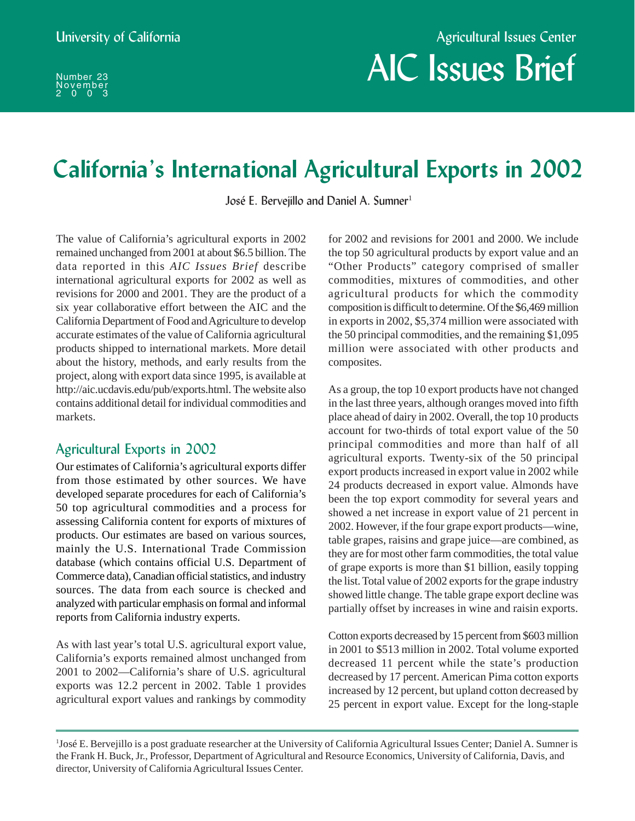# AIC Issues Brief

# **California's International Agricultural Exports in 2002**

José E. Bervejillo and Daniel A. Sumner<sup>1</sup>

The value of California's agricultural exports in 2002 remained unchanged from 2001 at about \$6.5 billion. The data reported in this *AIC Issues Brief* describe international agricultural exports for 2002 as well as revisions for 2000 and 2001. They are the product of a six year collaborative effort between the AIC and the California Department of Food and Agriculture to develop accurate estimates of the value of California agricultural products shipped to international markets. More detail about the history, methods, and early results from the project, along with export data since 1995, is available at http://aic.ucdavis.edu/pub/exports.html. The website also contains additional detail for individual commodities and markets.

# Agricultural Exports in 2002

Our estimates of California's agricultural exports differ from those estimated by other sources. We have developed separate procedures for each of California's 50 top agricultural commodities and a process for assessing California content for exports of mixtures of products. Our estimates are based on various sources, mainly the U.S. International Trade Commission database (which contains official U.S. Department of Commerce data), Canadian official statistics, and industry sources. The data from each source is checked and analyzed with particular emphasis on formal and informal reports from California industry experts.

As with last year's total U.S. agricultural export value, California's exports remained almost unchanged from 2001 to 2002—California's share of U.S. agricultural exports was 12.2 percent in 2002. Table 1 provides agricultural export values and rankings by commodity for 2002 and revisions for 2001 and 2000. We include the top 50 agricultural products by export value and an "Other Products" category comprised of smaller commodities, mixtures of commodities, and other agricultural products for which the commodity composition is difficult to determine. Of the \$6,469 million in exports in 2002, \$5,374 million were associated with the 50 principal commodities, and the remaining \$1,095 million were associated with other products and composites.

As a group, the top 10 export products have not changed in the last three years, although oranges moved into fifth place ahead of dairy in 2002. Overall, the top 10 products account for two-thirds of total export value of the 50 principal commodities and more than half of all agricultural exports. Twenty-six of the 50 principal export products increased in export value in 2002 while 24 products decreased in export value. Almonds have been the top export commodity for several years and showed a net increase in export value of 21 percent in 2002. However, if the four grape export products—wine, table grapes, raisins and grape juice—are combined, as they are for most other farm commodities, the total value of grape exports is more than \$1 billion, easily topping the list. Total value of 2002 exports for the grape industry showed little change. The table grape export decline was partially offset by increases in wine and raisin exports.

Cotton exports decreased by 15 percent from \$603 million in 2001 to \$513 million in 2002. Total volume exported decreased 11 percent while the state's production decreased by 17 percent. American Pima cotton exports increased by 12 percent, but upland cotton decreased by 25 percent in export value. Except for the long-staple

<sup>1</sup> José E. Bervejillo is a post graduate researcher at the University of California Agricultural Issues Center; Daniel A. Sumner is the Frank H. Buck, Jr., Professor, Department of Agricultural and Resource Economics, University of California, Davis, and director, University of California Agricultural Issues Center.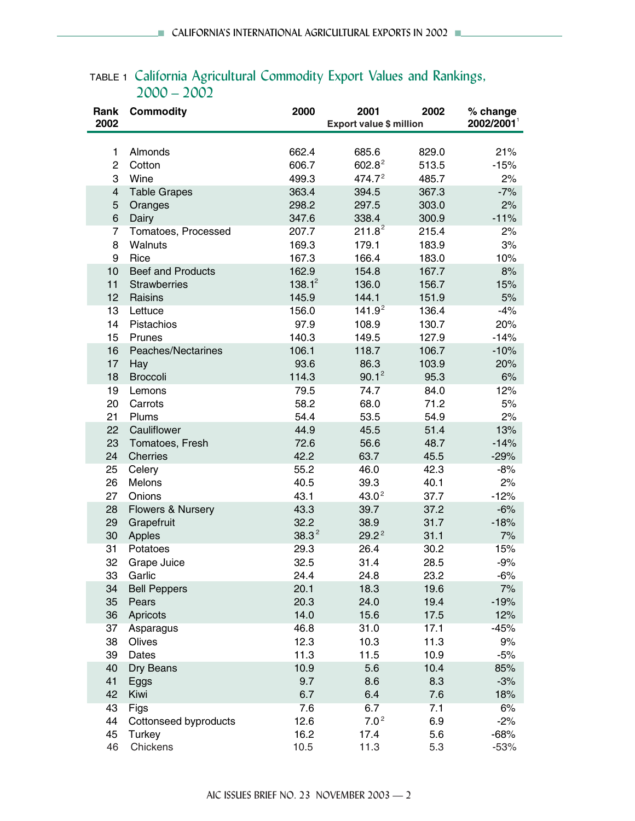| Rank<br>2002   | <b>Commodity</b>         | 2000      | 2001<br>2002<br><b>Export value \$ million</b> |       | % change<br>2002/2001 |  |
|----------------|--------------------------|-----------|------------------------------------------------|-------|-----------------------|--|
|                |                          |           |                                                |       |                       |  |
| 1              | Almonds                  | 662.4     | 685.6                                          | 829.0 | 21%                   |  |
| $\overline{c}$ | Cotton                   | 606.7     | $602.8^2$                                      | 513.5 | $-15%$                |  |
| 3              | Wine                     | 499.3     | 474.7 <sup>2</sup>                             | 485.7 | 2%                    |  |
| 4              | <b>Table Grapes</b>      | 363.4     | 394.5                                          | 367.3 | $-7%$                 |  |
| 5              | Oranges                  | 298.2     | 297.5                                          | 303.0 | 2%                    |  |
| 6              | Dairy                    | 347.6     | 338.4                                          | 300.9 | $-11%$                |  |
| $\overline{7}$ | Tomatoes, Processed      | 207.7     | $211.8^2$                                      | 215.4 | 2%                    |  |
| 8              | Walnuts                  | 169.3     | 179.1                                          | 183.9 | 3%                    |  |
| 9              | Rice                     | 167.3     | 166.4                                          | 183.0 | 10%                   |  |
| 10             | <b>Beef and Products</b> | 162.9     | 154.8                                          | 167.7 | 8%                    |  |
| 11             | <b>Strawberries</b>      | $138.1^2$ | 136.0                                          | 156.7 | 15%                   |  |
| 12             | Raisins                  | 145.9     | 144.1                                          | 151.9 | 5%                    |  |
| 13             | Lettuce                  | 156.0     | 141.9 <sup>2</sup>                             | 136.4 | $-4%$                 |  |
| 14             | Pistachios               | 97.9      | 108.9                                          | 130.7 | 20%                   |  |
| 15             | Prunes                   | 140.3     | 149.5                                          | 127.9 | $-14%$                |  |
| 16             | Peaches/Nectarines       | 106.1     | 118.7                                          | 106.7 | $-10%$                |  |
| 17             | Hay                      | 93.6      | 86.3                                           | 103.9 | 20%                   |  |
| 18             | <b>Broccoli</b>          | 114.3     | $90.1^2$                                       | 95.3  | 6%                    |  |
| 19             | Lemons                   | 79.5      | 74.7                                           | 84.0  | 12%                   |  |
| 20             | Carrots                  | 58.2      | 68.0                                           | 71.2  | 5%                    |  |
| 21             | Plums                    | 54.4      | 53.5                                           | 54.9  | 2%                    |  |
| 22             | Cauliflower              | 44.9      | 45.5                                           | 51.4  | 13%                   |  |
| 23             | Tomatoes, Fresh          | 72.6      | 56.6                                           | 48.7  | $-14%$                |  |
| 24             | Cherries                 | 42.2      | 63.7                                           | 45.5  | $-29%$                |  |
| 25             | Celery                   | 55.2      | 46.0                                           | 42.3  | $-8%$                 |  |
| 26             | Melons                   | 40.5      | 39.3                                           | 40.1  | 2%                    |  |
| 27             | Onions                   | 43.1      | 43.0 <sup>2</sup>                              | 37.7  | $-12%$                |  |
| 28             | Flowers & Nursery        | 43.3      | 39.7                                           | 37.2  | $-6%$                 |  |
| 29             | Grapefruit               | 32.2      | 38.9                                           | 31.7  | $-18%$                |  |
| 30             | Apples                   | $38.3^2$  | $29.2^2$                                       | 31.1  | 7%                    |  |
| 31             | Potatoes                 | 29.3      | 26.4                                           | 30.2  | 15%                   |  |
| 32             | Grape Juice              | 32.5      | 31.4                                           | 28.5  | $-9%$                 |  |
| 33             | Garlic                   | 24.4      | 24.8                                           | 23.2  | $-6%$                 |  |
| 34             | <b>Bell Peppers</b>      | 20.1      | 18.3                                           | 19.6  | 7%                    |  |
| 35             | Pears                    | 20.3      | 24.0                                           | 19.4  | $-19%$                |  |
| 36             | Apricots                 | 14.0      | 15.6                                           | 17.5  | 12%                   |  |
| 37             | Asparagus                | 46.8      | 31.0                                           | 17.1  | $-45%$                |  |
| 38             | Olives                   | 12.3      | 10.3                                           | 11.3  | 9%                    |  |
| 39             | Dates                    | 11.3      | 11.5                                           | 10.9  | $-5%$                 |  |
| 40             | Dry Beans                | 10.9      | 5.6                                            | 10.4  | 85%                   |  |
| 41             | Eggs                     | 9.7       | 8.6                                            | 8.3   | $-3%$                 |  |
| 42             | Kiwi                     | 6.7       | 6.4                                            | 7.6   | 18%                   |  |
| 43             | Figs                     | 7.6       | 6.7                                            | 7.1   | 6%                    |  |
| 44             | Cottonseed byproducts    | 12.6      | 7.0 <sup>2</sup>                               | 6.9   | $-2%$                 |  |
| 45             | Turkey                   | 16.2      | 17.4                                           | 5.6   | $-68%$                |  |
| 46             | Chickens                 | 10.5      | 11.3                                           | 5.3   | $-53%$                |  |

# TABLE 1 California Agricultural Commodity Export Values and Rankings, 2000 – 2002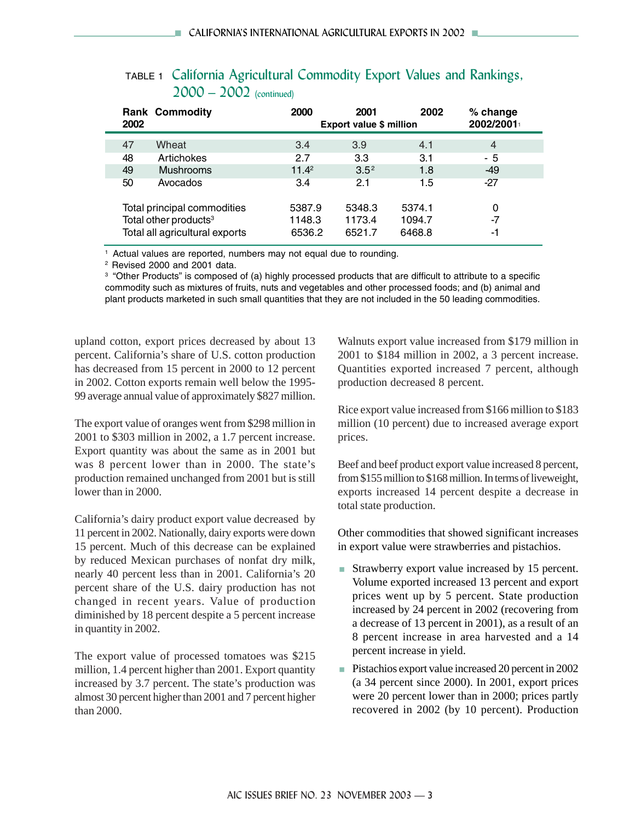| 2002                              | <b>Rank Commodity</b>          | 2000     | 2001<br><b>Export value \$ million</b> | 2002   | % change<br>2002/2001 |  |
|-----------------------------------|--------------------------------|----------|----------------------------------------|--------|-----------------------|--|
| 47                                | Wheat                          | 3.4      | 3.9                                    | 4.1    | $\overline{4}$        |  |
| 48                                | Artichokes                     | 2.7      | 3.3                                    | 3.1    | - 5                   |  |
| 49                                | <b>Mushrooms</b>               | $11.4^2$ | $3.5^2$                                | 1.8    | $-49$                 |  |
| 50                                | Avocados                       | 3.4      | 2.1                                    | 1.5    | $-27$                 |  |
|                                   | Total principal commodities    | 5387.9   | 5348.3                                 | 5374.1 | 0                     |  |
| Total other products <sup>3</sup> |                                | 1148.3   | 1173.4                                 | 1094.7 | $-7$                  |  |
|                                   | Total all agricultural exports | 6536.2   | 6521.7                                 | 6468.8 | -1                    |  |

# TABLE 1 California Agricultural Commodity Export Values and Rankings, 2000 – 2002 (continued)

<sup>1</sup> Actual values are reported, numbers may not equal due to rounding.

2 Revised 2000 and 2001 data.

3 "Other Products" is composed of (a) highly processed products that are difficult to attribute to a specific commodity such as mixtures of fruits, nuts and vegetables and other processed foods; and (b) animal and plant products marketed in such small quantities that they are not included in the 50 leading commodities.

upland cotton, export prices decreased by about 13 percent. California's share of U.S. cotton production has decreased from 15 percent in 2000 to 12 percent in 2002. Cotton exports remain well below the 1995- 99 average annual value of approximately \$827 million.

The export value of oranges went from \$298 million in 2001 to \$303 million in 2002, a 1.7 percent increase. Export quantity was about the same as in 2001 but was 8 percent lower than in 2000. The state's production remained unchanged from 2001 but is still lower than in 2000.

California's dairy product export value decreased by 11 percent in 2002. Nationally, dairy exports were down 15 percent. Much of this decrease can be explained by reduced Mexican purchases of nonfat dry milk, nearly 40 percent less than in 2001. California's 20 percent share of the U.S. dairy production has not changed in recent years. Value of production diminished by 18 percent despite a 5 percent increase in quantity in 2002.

The export value of processed tomatoes was \$215 million, 1.4 percent higher than 2001. Export quantity increased by 3.7 percent. The state's production was almost 30 percent higher than 2001 and 7 percent higher than 2000.

Walnuts export value increased from \$179 million in 2001 to \$184 million in 2002, a 3 percent increase. Quantities exported increased 7 percent, although production decreased 8 percent.

Rice export value increased from \$166 million to \$183 million (10 percent) due to increased average export prices.

Beef and beef product export value increased 8 percent, from \$155 million to \$168 million. In terms of liveweight, exports increased 14 percent despite a decrease in total state production.

Other commodities that showed significant increases in export value were strawberries and pistachios.

- Strawberry export value increased by 15 percent. Volume exported increased 13 percent and export prices went up by 5 percent. State production increased by 24 percent in 2002 (recovering from a decrease of 13 percent in 2001), as a result of an 8 percent increase in area harvested and a 14 percent increase in yield.
- Pistachios export value increased 20 percent in 2002 (a 34 percent since 2000). In 2001, export prices were 20 percent lower than in 2000; prices partly recovered in 2002 (by 10 percent). Production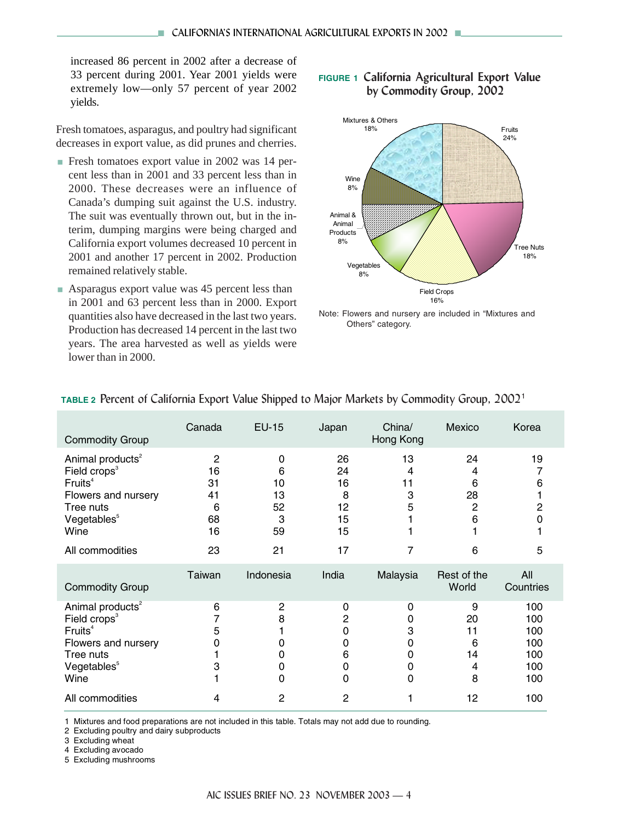increased 86 percent in 2002 after a decrease of 33 percent during 2001. Year 2001 yields were extremely low—only 57 percent of year 2002 yields.

Fresh tomatoes, asparagus, and poultry had significant decreases in export value, as did prunes and cherries.

- Fresh tomatoes export value in 2002 was 14 percent less than in 2001 and 33 percent less than in 2000. These decreases were an influence of Canada's dumping suit against the U.S. industry. The suit was eventually thrown out, but in the interim, dumping margins were being charged and California export volumes decreased 10 percent in 2001 and another 17 percent in 2002. Production remained relatively stable.
- Asparagus export value was 45 percent less than in 2001 and 63 percent less than in 2000. Export quantities also have decreased in the last two years. Production has decreased 14 percent in the last two years. The area harvested as well as yields were lower than in 2000.

#### **FIGURE 1 California Agricultural Export Value by Commodity Group, 2002**



Note: Flowers and nursery are included in "Mixtures and Others" category.

| <b>Commodity Group</b>                                                                                                                                                    | Canada                                            | <b>EU-15</b>                        | Japan                                     | China/<br>Hong Kong             | Mexico                                    | Korea                                         |
|---------------------------------------------------------------------------------------------------------------------------------------------------------------------------|---------------------------------------------------|-------------------------------------|-------------------------------------------|---------------------------------|-------------------------------------------|-----------------------------------------------|
| Animal products <sup>2</sup><br>Field crops <sup>3</sup><br>Fruits <sup>4</sup><br>Flowers and nursery<br>Tree nuts<br>Vegetables <sup>5</sup><br>Wine                    | $\overline{2}$<br>16<br>31<br>41<br>6<br>68<br>16 | 0<br>6<br>10<br>13<br>52<br>3<br>59 | 26<br>24<br>16<br>8<br>12<br>15<br>15     | 13<br>4<br>11<br>3<br>5         | 24<br>4<br>6<br>28<br>$\overline{c}$<br>6 | 19<br>6<br>2                                  |
| All commodities                                                                                                                                                           | 23                                                | 21                                  | 17                                        |                                 | 6                                         | 5                                             |
| <b>Commodity Group</b>                                                                                                                                                    | Taiwan                                            | Indonesia                           | India                                     | Malaysia                        | Rest of the<br>World                      | All<br>Countries                              |
| Animal products <sup>2</sup><br>Field crops <sup>3</sup><br>Fruits <sup>4</sup><br>Flowers and nursery<br>Tree nuts<br>Vegetables <sup>5</sup><br>Wine<br>All commodities | 6<br>5<br>3                                       | 2<br>8<br>Ω<br>0<br>0<br>0          | 0<br>2<br>0<br>0<br>6<br>0<br>$\mathbf 0$ | 0<br>0<br>3<br>0<br>0<br>0<br>0 | 9<br>20<br>11<br>6<br>14<br>4<br>8        | 100<br>100<br>100<br>100<br>100<br>100<br>100 |
|                                                                                                                                                                           | 4                                                 | 2                                   | $\overline{2}$                            |                                 | 12                                        | 100                                           |

#### **TABLE 2** Percent of California Export Value Shipped to Major Markets by Commodity Group, 2002<sup>1</sup>

1 Mixtures and food preparations are not included in this table. Totals may not add due to rounding.

2 Excluding poultry and dairy subproducts

3 Excluding wheat

4 Excluding avocado

5 Excluding mushrooms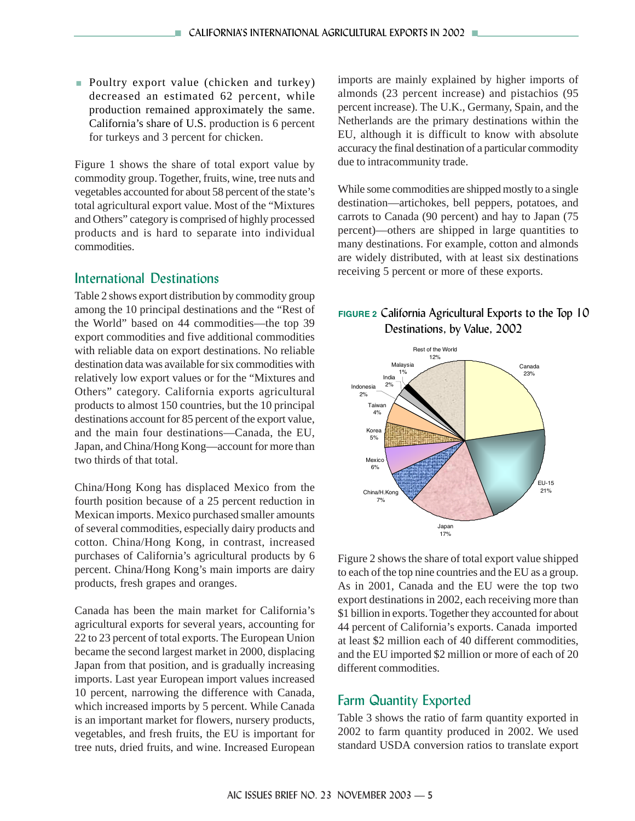**Poultry export value (chicken and turkey)** decreased an estimated 62 percent, while production remained approximately the same. California's share of U.S. production is 6 percent for turkeys and 3 percent for chicken.

Figure 1 shows the share of total export value by commodity group. Together, fruits, wine, tree nuts and vegetables accounted for about 58 percent of the state's total agricultural export value. Most of the "Mixtures and Others" category is comprised of highly processed products and is hard to separate into individual commodities.

### International Destinations

Table 2 shows export distribution by commodity group among the 10 principal destinations and the "Rest of the World" based on 44 commodities—the top 39 export commodities and five additional commodities with reliable data on export destinations. No reliable destination data was available for six commodities with relatively low export values or for the "Mixtures and Others" category. California exports agricultural products to almost 150 countries, but the 10 principal destinations account for 85 percent of the export value, and the main four destinations—Canada, the EU, Japan, and China/Hong Kong—account for more than two thirds of that total.

China/Hong Kong has displaced Mexico from the fourth position because of a 25 percent reduction in Mexican imports. Mexico purchased smaller amounts of several commodities, especially dairy products and cotton. China/Hong Kong, in contrast, increased purchases of California's agricultural products by 6 percent. China/Hong Kong's main imports are dairy products, fresh grapes and oranges.

Canada has been the main market for California's agricultural exports for several years, accounting for 22 to 23 percent of total exports. The European Union became the second largest market in 2000, displacing Japan from that position, and is gradually increasing imports. Last year European import values increased 10 percent, narrowing the difference with Canada, which increased imports by 5 percent. While Canada is an important market for flowers, nursery products, vegetables, and fresh fruits, the EU is important for tree nuts, dried fruits, and wine. Increased European imports are mainly explained by higher imports of almonds (23 percent increase) and pistachios (95 percent increase). The U.K., Germany, Spain, and the Netherlands are the primary destinations within the EU, although it is difficult to know with absolute accuracy the final destination of a particular commodity due to intracommunity trade.

While some commodities are shipped mostly to a single destination—artichokes, bell peppers, potatoes, and carrots to Canada (90 percent) and hay to Japan (75 percent)—others are shipped in large quantities to many destinations. For example, cotton and almonds are widely distributed, with at least six destinations receiving 5 percent or more of these exports.

# **FIGURE 2** California Agricultural Exports to the Top 10 Destinations, by Value, 2002



Figure 2 shows the share of total export value shipped to each of the top nine countries and the EU as a group. As in 2001, Canada and the EU were the top two export destinations in 2002, each receiving more than \$1 billion in exports. Together they accounted for about 44 percent of California's exports. Canada imported at least \$2 million each of 40 different commodities, and the EU imported \$2 million or more of each of 20 different commodities.

# Farm Quantity Exported

Table 3 shows the ratio of farm quantity exported in 2002 to farm quantity produced in 2002. We used standard USDA conversion ratios to translate export